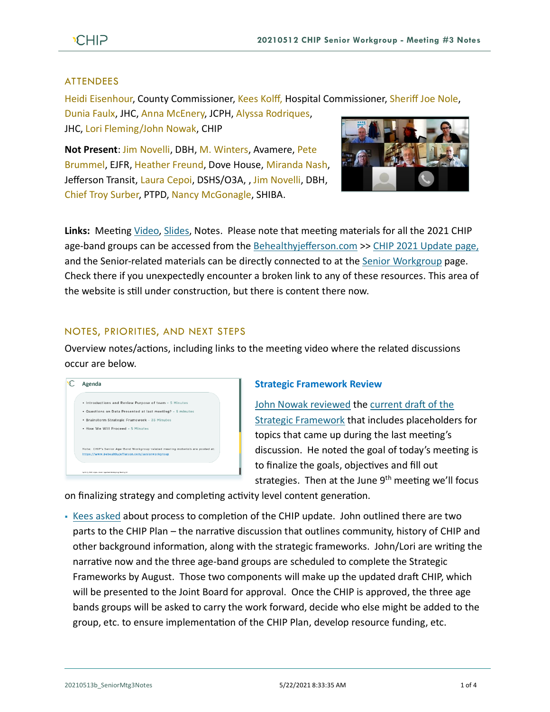## ATTENDEES

Heidi Eisenhour, County Commissioner, Kees Kolff, Hospital Commissioner, Sheriff Joe Nole,

Dunia Faulx, JHC, Anna McEnery, JCPH, Alyssa Rodriques, JHC, Lori Fleming/John Nowak, CHIP

**Not Present**: Jim Novelli, DBH, M. Winters, Avamere, Pete Brummel, EJFR, Heather Freund, Dove House, Miranda Nash, Jefferson Transit, Laura Cepoi, DSHS/O3A, , Jim Novelli, DBH, Chief Troy Surber, PTPD, Nancy McGonagle, SHIBA.



**Links:** Meeting [Video,](https://www.youtube.com/watch?v=Kvgwn2SQgcY) [Slides,](https://793b0af6-bf22-4c2c-91c8-8cc6fd2f172d.filesusr.com/ugd/2fdcdd_5eb7f72ce3544fe6b12264d98ed72338.pdf) Notes. Please note that meeting materials for all the 2021 CHIP age-band groups can be accessed from the [Behealthyjefferson.com](https://www.behealthyjefferson.com/) >> [CHIP 2021 Update](https://www.behealthyjefferson.com/chip2021update) page, and the Senior-related materials can be directly connected to at the Senior [Workgroup](https://www.behealthyjefferson.com/seniorworkgroup) page. Check there if you unexpectedly encounter a broken link to any of these resources. This area of the website is still under construction, but there is content there now.

# NOTES, PRIORITIES, AND NEXT STEPS

Overview notes/actions, including links to the meeting video where the related discussions occur are below.



# **Strategic Framework Review**

[John Nowak reviewed](https://youtu.be/Kvgwn2SQgcY?t=347) the [current draft of the](https://793b0af6-bf22-4c2c-91c8-8cc6fd2f172d.filesusr.com/ugd/2fdcdd_a4d37f773a7246bdbec59062a1822517.pdf)  [Strategic Framework](https://793b0af6-bf22-4c2c-91c8-8cc6fd2f172d.filesusr.com/ugd/2fdcdd_a4d37f773a7246bdbec59062a1822517.pdf) that includes placeholders for topics that came up during the last meeting's discussion. He noted the goal of today's meeting is to finalize the goals, objectives and fill out strategies. Then at the June  $9<sup>th</sup>$  meeting we'll focus

on finalizing strategy and completing activity level content generation.

▪ [Kees asked](https://youtu.be/Kvgwn2SQgcY?t=532) about process to completion of the CHIP update. John outlined there are two parts to the CHIP Plan – the narrative discussion that outlines community, history of CHIP and other background information, along with the strategic frameworks. John/Lori are writing the narrative now and the three age-band groups are scheduled to complete the Strategic Frameworks by August. Those two components will make up the updated draft CHIP, which will be presented to the Joint Board for approval. Once the CHIP is approved, the three age bands groups will be asked to carry the work forward, decide who else might be added to the group, etc. to ensure implementation of the CHIP Plan, develop resource funding, etc.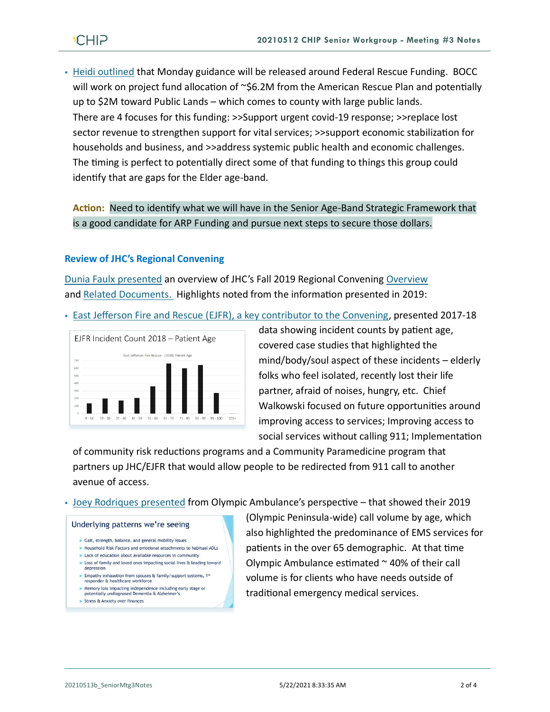# **CHIP**

▪ [Heidi outlined](https://youtu.be/Kvgwn2SQgcY?t=724) that Monday guidance will be released around Federal Rescue Funding. BOCC will work on project fund allocation of ~\$6.2M from the American Rescue Plan and potentially up to \$2M toward Public Lands – which comes to county with large public lands. There are 4 focuses for this funding: >>Support urgent covid-19 response; >>replace lost sector revenue to strengthen support for vital services; >>support economic stabilization for households and business, and >>address systemic public health and economic challenges. The timing is perfect to potentially direct some of that funding to things this group could identify that are gaps for the Elder age-band.

**Action:** Need to identify what we will have in the Senior Age-Band Strategic Framework that is a good candidate for ARP Funding and pursue next steps to secure those dollars.

## **Review of JHC's Regional Convening**

[Dunia Faulx presented](https://youtu.be/Kvgwn2SQgcY?t=1061) an overview of JHC's Fall 2019 Regional Convening [Overview](https://jeffersonhealthcare.org/regional-convening-the-health-of-older-adults-in-rural-communities-mind-body-body-and-soul/) and [Related Documents.](https://www.nationalcomplex.care/regional-convenings/regional-convenings-2019-washington/) Highlights noted from the information presented in 2019:

• [East Jefferson Fire and Rescue \(EJFR\), a key contributor to the Convening,](https://www.nationalcomplex.care/wp-content/uploads/2019/11/4.a-Geriatric-Convening_Walkowski.pdf) presented 2017-18



data showing incident counts by patient age, covered case studies that highlighted the mind/body/soul aspect of these incidents – elderly folks who feel isolated, recently lost their life partner, afraid of noises, hungry, etc. Chief Walkowski focused on future opportunities around improving access to services; Improving access to social services without calling 911; Implementation

of community risk reductions programs and a Community Paramedicine program that partners up JHC/EJFR that would allow people to be redirected from 911 call to another avenue of access.

▪ [Joey Rodriques presented](https://www.nationalcomplex.care/wp-content/uploads/2019/11/4.b-The-Aging-Population-We-Serve_Rodrigues.pdf) from Olympic Ambulance's perspective – that showed their 2019

#### Underlying patterns we're seeing

- Gait, strength, balance, and general mobility issues
- Household Risk Factors and emotional attachments to habitual ADLs
- Lack of education about available resources in community ▶ Loss of family and loved ones impacting social lives & leading toward
- depression Empathy exhaustion from spouses & family/support systems, 1st responder & healthcare workforce
- 
- ► Memory loss impacting independence including early stage or potentially undiagnosed Dementia & Alzheimer's
- Stress & Anxiety over finances

(Olympic Peninsula-wide) call volume by age, which also highlighted the predominance of EMS services for patients in the over 65 demographic. At that time Olympic Ambulance estimated  $\sim$  40% of their call volume is for clients who have needs outside of traditional emergency medical services.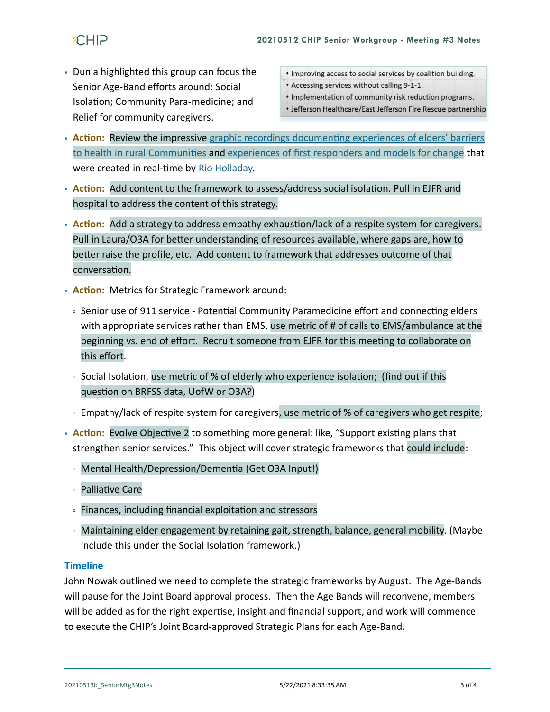- Dunia highlighted this group can focus the Senior Age-Band efforts around: Social Isolation; Community Para-medicine; and Relief for community caregivers.
- Improving access to social services by coalition building.
- Accessing services without calling 9-1-1.
- . Implementation of community risk reduction programs.
- Jefferson Healthcare/East Jefferson Fire Rescue partnership
- **Action:** Review the impressive graphic recordings documenting experiences of elders' barriers to health [in rural Communities](https://www.nationalcomplex.care/wp-content/uploads/2019/11/Jefferson-Healthcare-Regional-Convening_Experiences-of-Elders_2019OCT21.jpg) and [experiences of first responders and models for change](https://www.nationalcomplex.care/wp-content/uploads/2019/11/Jefferson-Healthcare-Regional-Convening_Experiences-of-Elders_2019OCT21.jpg) that were created in real-time by [Rio Holladay.](https://www.rioholaday.com/)
- **Action:** Add content to the framework to assess/address social isolation. Pull in EJFR and hospital to address the content of this strategy.
- **Action:** Add a strategy to address empathy exhaustion/lack of a respite system for caregivers. Pull in Laura/O3A for better understanding of resources available, where gaps are, how to better raise the profile, etc. Add content to framework that addresses outcome of that conversation.
- **Action:** Metrics for Strategic Framework around:
	- Senior use of 911 service Potential Community Paramedicine effort and connecting elders with appropriate services rather than EMS, use metric of # of calls to EMS/ambulance at the beginning vs. end of effort. Recruit someone from EJFR for this meeting to collaborate on this effort.
	- Social Isolation, use metric of % of elderly who experience isolation; (find out if this question on BRFSS data, UofW or O3A?)
	- Empathy/lack of respite system for caregivers, use metric of % of caregivers who get respite;
- **Action:** Evolve Objective 2 to something more general: like, "Support existing plans that strengthen senior services." This object will cover strategic frameworks that could include:
	- Mental Health/Depression/Dementia (Get O3A Input!)
	- Palliative Care
	- Finances, including financial exploitation and stressors
	- Maintaining elder engagement by retaining gait, strength, balance, general mobility. (Maybe include this under the Social Isolation framework.)

#### **Timeline**

John Nowak outlined we need to complete the strategic frameworks by August. The Age-Bands will pause for the Joint Board approval process. Then the Age Bands will reconvene, members will be added as for the right expertise, insight and financial support, and work will commence to execute the CHIP's Joint Board-approved Strategic Plans for each Age-Band.